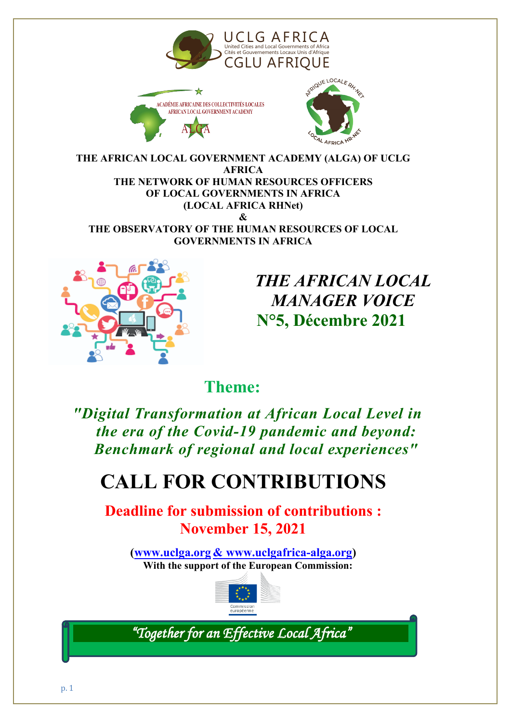





**THE AFRICAN LOCAL GOVERNMENT ACADEMY (ALGA) OF UCLG AFRICA THE NETWORK OF HUMAN RESOURCES OFFICERS OF LOCAL GOVERNMENTS IN AFRICA (LOCAL AFRICA RHNet) &**

**THE OBSERVATORY OF THE HUMAN RESOURCES OF LOCAL GOVERNMENTS IN AFRICA**



*THE AFRICAN LOCAL MANAGER VOICE*  **N°5, Décembre 2021**

**Theme:**

*"Digital Transformation at African Local Level in the era of the Covid-19 pandemic and beyond: Benchmark of regional and local experiences"*

# **CALL FOR CONTRIBUTIONS**

**Deadline for submission of contributions : November 15, 2021**

**(www.uclga.org & www.uclgafrica-alga.org) With the support of the European Commission:**



*"Together for an Effective Local Africa"*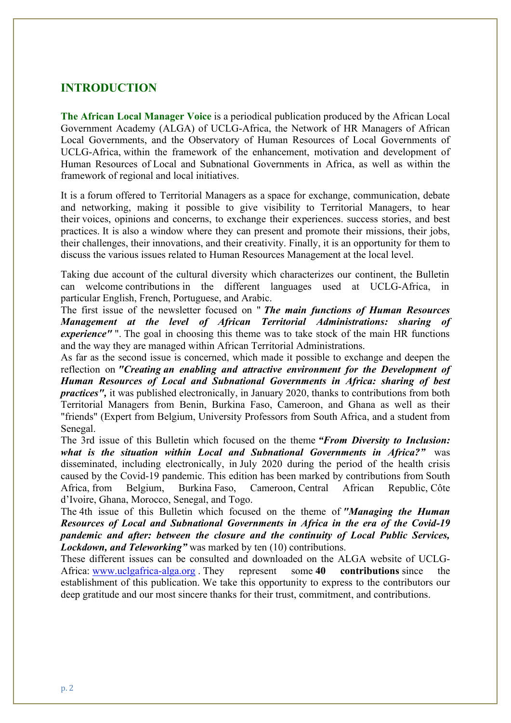#### **INTRODUCTION**

**The African Local Manager Voice** is a periodical publication produced by the African Local Government Academy (ALGA) of UCLG-Africa, the Network of HR Managers of African Local Governments, and the Observatory of Human Resources of Local Governments of UCLG-Africa, within the framework of the enhancement, motivation and development of Human Resources of Local and Subnational Governments in Africa, as well as within the framework of regional and local initiatives.

It is a forum offered to Territorial Managers as a space for exchange, communication, debate and networking, making it possible to give visibility to Territorial Managers, to hear their voices, opinions and concerns, to exchange their experiences. success stories, and best practices. It is also a window where they can present and promote their missions, their jobs, their challenges, their innovations, and their creativity. Finally, it is an opportunity for them to discuss the various issues related to Human Resources Management at the local level.

Taking due account of the cultural diversity which characterizes our continent, the Bulletin can welcome contributions in the different languages used at UCLG-Africa, in particular English, French, Portuguese, and Arabic.

The first issue of the newsletter focused on " *The main functions of Human Resources Management at the level of African Territorial Administrations: sharing of experience"* ". The goal in choosing this theme was to take stock of the main HR functions and the way they are managed within African Territorial Administrations.

As far as the second issue is concerned, which made it possible to exchange and deepen the reflection on *"Creating an enabling and attractive environment for the Development of Human Resources of Local and Subnational Governments in Africa: sharing of best practices",* it was published electronically, in January 2020, thanks to contributions from both Territorial Managers from Benin, Burkina Faso, Cameroon, and Ghana as well as their "friends" (Expert from Belgium, University Professors from South Africa, and a student from Senegal.

The 3rd issue of this Bulletin which focused on the theme *"From Diversity to Inclusion: what is the situation within Local and Subnational Governments in Africa?"* was disseminated, including electronically, in July 2020 during the period of the health crisis caused by the Covid-19 pandemic. This edition has been marked by contributions from South Africa, from Belgium, Burkina Faso, Cameroon, Central African Republic, Côte d'Ivoire, Ghana, Morocco, Senegal, and Togo.

The 4th issue of this Bulletin which focused on the theme of *"Managing the Human Resources of Local and Subnational Governments in Africa in the era of the Covid-19 pandemic and after: between the closure and the continuity of Local Public Services, Lockdown, and Teleworking"* was marked by ten (10) contributions.

These different issues can be consulted and downloaded on the ALGA website of UCLG-Africa: www.uclgafrica-alga.org . They represent some **40 contributions** since the establishment of this publication. We take this opportunity to express to the contributors our deep gratitude and our most sincere thanks for their trust, commitment, and contributions.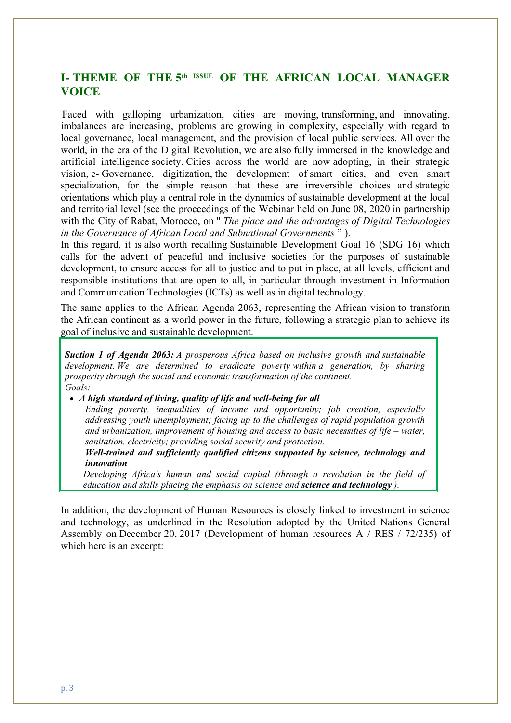## **I- THEME OF THE 5th ISSUE OF THE AFRICAN LOCAL MANAGER VOICE**

Faced with galloping urbanization, cities are moving, transforming, and innovating, imbalances are increasing, problems are growing in complexity, especially with regard to local governance, local management, and the provision of local public services. All over the world, in the era of the Digital Revolution, we are also fully immersed in the knowledge and artificial intelligence society. Cities across the world are now adopting, in their strategic vision, e- Governance, digitization, the development of smart cities, and even smart specialization, for the simple reason that these are irreversible choices and strategic orientations which play a central role in the dynamics of sustainable development at the local and territorial level (see the proceedings of the Webinar held on June 08, 2020 in partnership with the City of Rabat, Morocco, on " *The place and the advantages of Digital Technologies in the Governance of African Local and Subnational Governments* " ).

In this regard, it is also worth recalling Sustainable Development Goal 16 (SDG 16) which calls for the advent of peaceful and inclusive societies for the purposes of sustainable development, to ensure access for all to justice and to put in place, at all levels, efficient and responsible institutions that are open to all, in particular through investment in Information and Communication Technologies (ICTs) as well as in digital technology.

The same applies to the African Agenda 2063, representing the African vision to transform the African continent as a world power in the future, following a strategic plan to achieve its goal of inclusive and sustainable development.

*Suction 1 of Agenda 2063: A prosperous Africa based on inclusive growth and sustainable development. We are determined to eradicate poverty within a generation, by sharing prosperity through the social and economic transformation of the continent. Goals:*

#### *A high standard of living, quality of life and well-being for all*

*Ending poverty, inequalities of income and opportunity; job creation, especially addressing youth unemployment; facing up to the challenges of rapid population growth and urbanization, improvement of housing and access to basic necessities of life – water, sanitation, electricity; providing social security and protection.*

*Well-trained and sufficiently qualified citizens supported by science, technology and innovation* 

*Developing Africa's human and social capital (through a revolution in the field of education and skills placing the emphasis on science and science and technology ).*

In addition, the development of Human Resources is closely linked to investment in science and technology, as underlined in the Resolution adopted by the United Nations General Assembly on December 20, 2017 (Development of human resources A / RES / 72/235) of which here is an excerpt: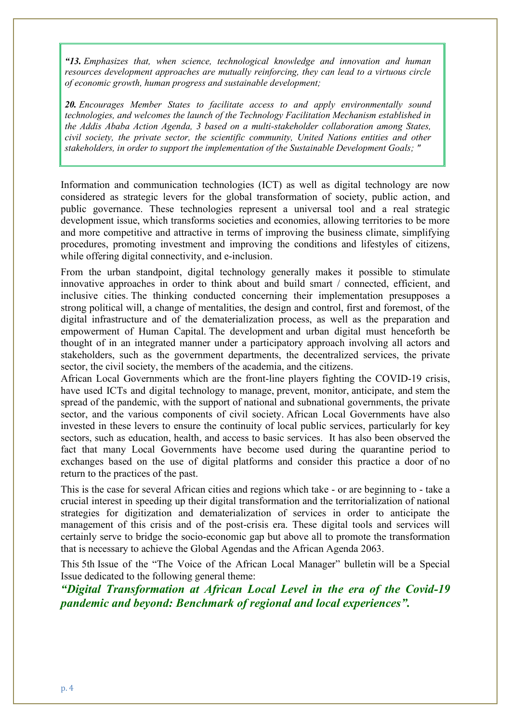*"13. Emphasizes that, when science, technological knowledge and innovation and human resources development approaches are mutually reinforcing, they can lead to a virtuous circle of economic growth, human progress and sustainable development;*

*20. Encourages Member States to facilitate access to and apply environmentally sound technologies, and welcomes the launch of the Technology Facilitation Mechanism established in the Addis Ababa Action Agenda, 3 based on a multi-stakeholder collaboration among States, civil society, the private sector, the scientific community, United Nations entities and other stakeholders, in order to support the implementation of the Sustainable Development Goals; "*

Information and communication technologies (ICT) as well as digital technology are now considered as strategic levers for the global transformation of society, public action, and public governance. These technologies represent a universal tool and a real strategic development issue, which transforms societies and economies, allowing territories to be more and more competitive and attractive in terms of improving the business climate, simplifying procedures, promoting investment and improving the conditions and lifestyles of citizens, while offering digital connectivity, and e-inclusion.

From the urban standpoint, digital technology generally makes it possible to stimulate innovative approaches in order to think about and build smart / connected, efficient, and inclusive cities. The thinking conducted concerning their implementation presupposes a strong political will, a change of mentalities, the design and control, first and foremost, of the digital infrastructure and of the dematerialization process, as well as the preparation and empowerment of Human Capital. The development and urban digital must henceforth be thought of in an integrated manner under a participatory approach involving all actors and stakeholders, such as the government departments, the decentralized services, the private sector, the civil society, the members of the academia, and the citizens.

African Local Governments which are the front-line players fighting the COVID-19 crisis, have used ICTs and digital technology to manage, prevent, monitor, anticipate, and stem the spread of the pandemic, with the support of national and subnational governments, the private sector, and the various components of civil society. African Local Governments have also invested in these levers to ensure the continuity of local public services, particularly for key sectors, such as education, health, and access to basic services. It has also been observed the fact that many Local Governments have become used during the quarantine period to exchanges based on the use of digital platforms and consider this practice a door of no return to the practices of the past.

This is the case for several African cities and regions which take - or are beginning to - take a crucial interest in speeding up their digital transformation and the territorialization of national strategies for digitization and dematerialization of services in order to anticipate the management of this crisis and of the post-crisis era. These digital tools and services will certainly serve to bridge the socio-economic gap but above all to promote the transformation that is necessary to achieve the Global Agendas and the African Agenda 2063.

This 5th Issue of the "The Voice of the African Local Manager" bulletin will be a Special Issue dedicated to the following general theme:

*"Digital Transformation at African Local Level in the era of the Covid-19 pandemic and beyond: Benchmark of regional and local experiences".*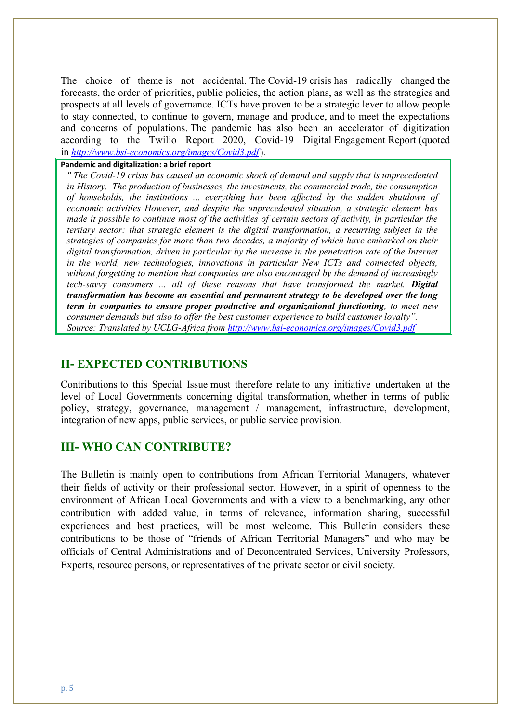The choice of theme is not accidental. The Covid-19 crisis has radically changed the forecasts, the order of priorities, public policies, the action plans, as well as the strategies and prospects at all levels of governance. ICTs have proven to be a strategic lever to allow people to stay connected, to continue to govern, manage and produce, and to meet the expectations and concerns of populations. The pandemic has also been an accelerator of digitization according to the Twilio Report 2020, Covid-19 Digital Engagement Report (quoted in *http://www.bsi-economics.org/images/Covid3.pdf* ).

#### **Pandemic and digitalization: a brief report**

*" The Covid-19 crisis has caused an economic shock of demand and supply that is unprecedented in History. The production of businesses, the investments, the commercial trade, the consumption of households, the institutions ... everything has been affected by the sudden shutdown of economic activities However, and despite the unprecedented situation, a strategic element has made it possible to continue most of the activities of certain sectors of activity, in particular the tertiary sector: that strategic element is the digital transformation, a recurring subject in the strategies of companies for more than two decades, a majority of which have embarked on their*  digital transformation, driven in particular by the increase in the penetration rate of the Internet *in the world, new technologies, innovations in particular New ICTs and connected objects, without forgetting to mention that companies are also encouraged by the demand of increasingly tech-savvy consumers ... all of these reasons that have transformed the market. Digital transformation has become an essential and permanent strategy to be developed over the long term in companies to ensure proper productive and organizational functioning, to meet new consumer demands but also to offer the best customer experience to build customer loyalty". Source: Translated by UCLG-Africa from http://www.bsi-economics.org/images/Covid3.pdf*

#### **II- EXPECTED CONTRIBUTIONS**

Contributions to this Special Issue must therefore relate to any initiative undertaken at the level of Local Governments concerning digital transformation, whether in terms of public policy, strategy, governance, management / management, infrastructure, development, integration of new apps, public services, or public service provision.

#### **III- WHO CAN CONTRIBUTE?**

The Bulletin is mainly open to contributions from African Territorial Managers, whatever their fields of activity or their professional sector. However, in a spirit of openness to the environment of African Local Governments and with a view to a benchmarking, any other contribution with added value, in terms of relevance, information sharing, successful experiences and best practices, will be most welcome. This Bulletin considers these contributions to be those of "friends of African Territorial Managers" and who may be officials of Central Administrations and of Deconcentrated Services, University Professors, Experts, resource persons, or representatives of the private sector or civil society.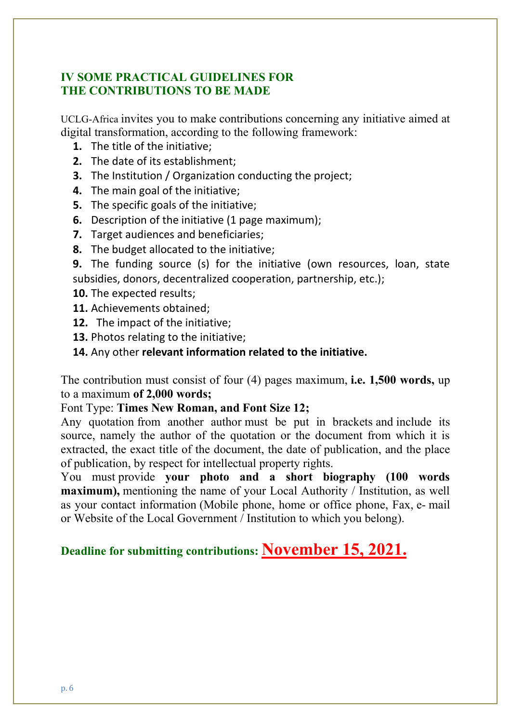## **IV SOME PRACTICAL GUIDELINES FOR THE CONTRIBUTIONS TO BE MADE**

UCLG-Africa invites you to make contributions concerning any initiative aimed at digital transformation, according to the following framework:

- **1.** The title of the initiative;
- **2.** The date of its establishment;
- **3.** The Institution / Organization conducting the project;
- **4.** The main goal of the initiative;
- **5.** The specific goals of the initiative;
- **6.** Description of the initiative (1 page maximum);
- **7.** Target audiences and beneficiaries;
- **8.** The budget allocated to the initiative;

**9.** The funding source (s) for the initiative (own resources, loan, state subsidies, donors, decentralized cooperation, partnership, etc.);

- **10.** The expected results;
- **11.** Achievements obtained;
- **12.** The impact of the initiative;
- **13.** Photos relating to the initiative;

#### **14.** Any other **relevant information related to the initiative.**

The contribution must consist of four (4) pages maximum, **i.e. 1,500 words,** up to a maximum **of 2,000 words;**

#### Font Type: **Times New Roman, and Font Size 12;**

Any quotation from another author must be put in brackets and include its source, namely the author of the quotation or the document from which it is extracted, the exact title of the document, the date of publication, and the place of publication, by respect for intellectual property rights.

You must provide **your photo and a short biography (100 words maximum),** mentioning the name of your Local Authority / Institution, as well as your contact information (Mobile phone, home or office phone, Fax, e- mail or Website of the Local Government / Institution to which you belong).

# **Deadline for submitting contributions: November 15, 2021.**